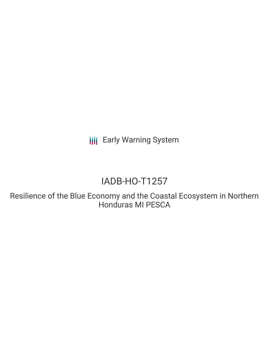**III** Early Warning System

# IADB-HO-T1257

Resilience of the Blue Economy and the Coastal Ecosystem in Northern Honduras MI PESCA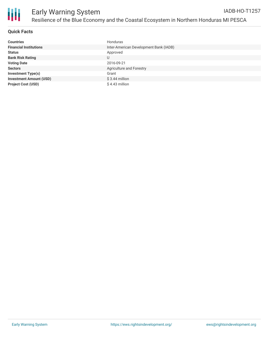

#### **Quick Facts**

| <b>Countries</b>               | Honduras                               |
|--------------------------------|----------------------------------------|
| <b>Financial Institutions</b>  | Inter-American Development Bank (IADB) |
| <b>Status</b>                  | Approved                               |
| <b>Bank Risk Rating</b>        | U                                      |
| <b>Voting Date</b>             | 2016-09-21                             |
| <b>Sectors</b>                 | Agriculture and Forestry               |
| <b>Investment Type(s)</b>      | Grant                                  |
| <b>Investment Amount (USD)</b> | $$3.44$ million                        |
| <b>Project Cost (USD)</b>      | $$4.43$ million                        |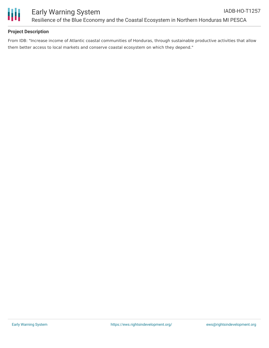

### **Project Description**

From IDB: "Increase income of Atlantic coastal communities of Honduras, through sustainable productive activities that allow them better access to local markets and conserve coastal ecosystem on which they depend."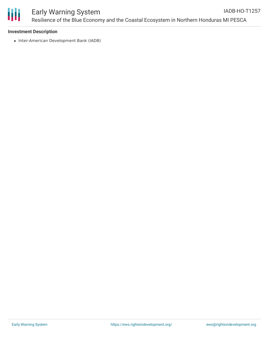

#### **Investment Description**

• Inter-American Development Bank (IADB)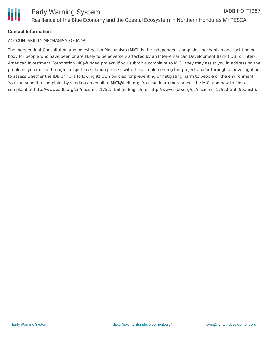## **Contact Information**

#### ACCOUNTABILITY MECHANISM OF IADB

The Independent Consultation and Investigation Mechanism (MICI) is the independent complaint mechanism and fact-finding body for people who have been or are likely to be adversely affected by an Inter-American Development Bank (IDB) or Inter-American Investment Corporation (IIC)-funded project. If you submit a complaint to MICI, they may assist you in addressing the problems you raised through a dispute-resolution process with those implementing the project and/or through an investigation to assess whether the IDB or IIC is following its own policies for preventing or mitigating harm to people or the environment. You can submit a complaint by sending an email to MICI@iadb.org. You can learn more about the MICI and how to file a complaint at http://www.iadb.org/en/mici/mici,1752.html (in English) or http://www.iadb.org/es/mici/mici,1752.html (Spanish).